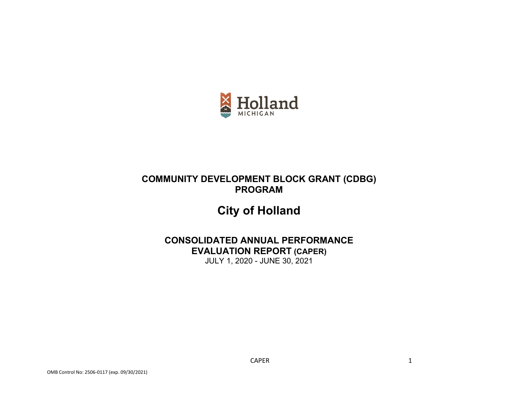

# **COMMUNITY DEVELOPMENT BLOCK GRANT (CDBG) PROGRAM**

# **City of Holland**

# **CONSOLIDATED ANNUAL PERFORMANCE EVALUATION REPORT (CAPER)**

JULY 1, 2020 - JUNE 30, 2021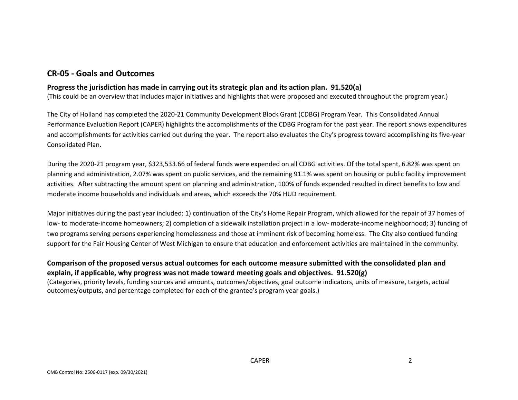# **CR-05 - Goals and Outcomes**

### **Progress the jurisdiction has made in carrying out its strategic plan and its action plan. 91.520(a)**

(This could be an overview that includes major initiatives and highlights that were proposed and executed throughout the program year.)

The City of Holland has completed the 2020-21 Community Development Block Grant (CDBG) Program Year. This Consolidated Annual Performance Evaluation Report (CAPER) highlights the accomplishments of the CDBG Program for the past year. The report shows expenditures and accomplishments for activities carried out during the year. The report also evaluates the City's progress toward accomplishing its five-year Consolidated Plan.

During the 2020-21 program year, \$323,533.66 of federal funds were expended on all CDBG activities. Of the total spent, 6.82% was spent on planning and administration, 2.07% was spent on public services, and the remaining 91.1% was spent on housing or public facility improvement activities. After subtracting the amount spent on planning and administration, 100% of funds expended resulted in direct benefits to low and moderate income households and individuals and areas, which exceeds the 70% HUD requirement.

Major initiatives during the past year included: 1) continuation of the City's Home Repair Program, which allowed for the repair of 37 homes of low- to moderate-income homeowners; 2) completion of a sidewalk installation project in a low- moderate-income neighborhood; 3) funding of two programs serving persons experiencing homelessness and those at imminent risk of becoming homeless. The City also contiued funding support for the Fair Housing Center of West Michigan to ensure that education and enforcement activities are maintained in the community.

# **Comparison of the proposed versus actual outcomes for each outcome measure submitted with the consolidated plan and explain, if applicable, why progress was not made toward meeting goals and objectives. 91.520(g)**

(Categories, priority levels, funding sources and amounts, outcomes/objectives, goal outcome indicators, units of measure, targets, actual outcomes/outputs, and percentage completed for each of the grantee's program year goals.)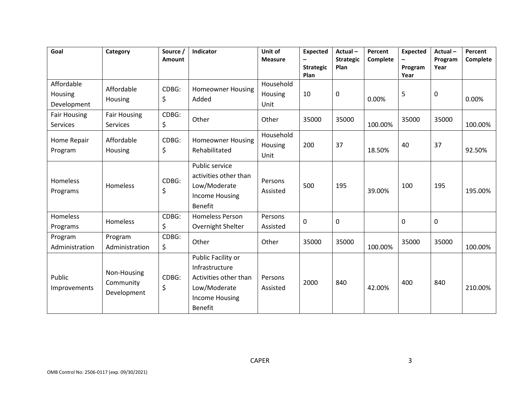| Goal                                 | Category                                | Source /<br>Amount | <b>Indicator</b>                                                                                                         | Unit of<br><b>Measure</b>    | <b>Expected</b><br>$\overline{\phantom{0}}$<br><b>Strategic</b><br>Plan | Actual-<br><b>Strategic</b><br>Plan | Percent<br>Complete | <b>Expected</b><br>Program<br>Year | Actual-<br>Program<br>Year | Percent<br>Complete |
|--------------------------------------|-----------------------------------------|--------------------|--------------------------------------------------------------------------------------------------------------------------|------------------------------|-------------------------------------------------------------------------|-------------------------------------|---------------------|------------------------------------|----------------------------|---------------------|
| Affordable<br>Housing<br>Development | Affordable<br>Housing                   | CDBG:<br>\$        | <b>Homeowner Housing</b><br>Added                                                                                        | Household<br>Housing<br>Unit | 10                                                                      | $\pmb{0}$                           | 0.00%               | 5                                  | $\mathbf 0$                | 0.00%               |
| <b>Fair Housing</b><br>Services      | <b>Fair Housing</b><br><b>Services</b>  | CDBG:<br>\$        | Other                                                                                                                    | Other                        | 35000                                                                   | 35000                               | 100.00%             | 35000                              | 35000                      | 100.00%             |
| Home Repair<br>Program               | Affordable<br>Housing                   | CDBG:<br>\$        | Homeowner Housing<br>Rehabilitated                                                                                       | Household<br>Housing<br>Unit | 200                                                                     | 37                                  | 18.50%              | 40                                 | 37                         | 92.50%              |
| Homeless<br>Programs                 | Homeless                                | CDBG:<br>\$        | Public service<br>activities other than<br>Low/Moderate<br><b>Income Housing</b><br><b>Benefit</b>                       | Persons<br>Assisted          | 500                                                                     | 195                                 | 39.00%              | 100                                | 195                        | 195.00%             |
| Homeless<br>Programs                 | Homeless                                | CDBG:<br>\$        | <b>Homeless Person</b><br>Overnight Shelter                                                                              | Persons<br>Assisted          | 0                                                                       | 0                                   |                     | 0                                  | 0                          |                     |
| Program<br>Administration            | Program<br>Administration               | CDBG:<br>\$        | Other                                                                                                                    | Other                        | 35000                                                                   | 35000                               | 100.00%             | 35000                              | 35000                      | 100.00%             |
| Public<br>Improvements               | Non-Housing<br>Community<br>Development | CDBG:<br>\$        | Public Facility or<br>Infrastructure<br>Activities other than<br>Low/Moderate<br><b>Income Housing</b><br><b>Benefit</b> | Persons<br>Assisted          | 2000                                                                    | 840                                 | 42.00%              | 400                                | 840                        | 210.00%             |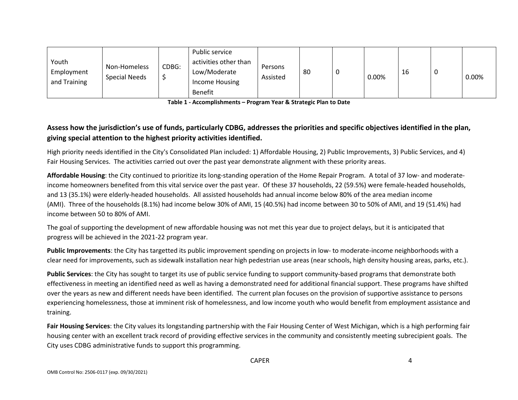| Youth<br>Employment<br>and Training | Non-Homeless<br><b>Special Needs</b> | CDBG: | Public service<br>activities other than<br>Low/Moderate<br>Income Housing | Persons<br>Assisted | 80 | υ | 0.00% | 16 | 0.00% |
|-------------------------------------|--------------------------------------|-------|---------------------------------------------------------------------------|---------------------|----|---|-------|----|-------|
|                                     |                                      |       | <b>Benefit</b>                                                            |                     |    |   |       |    |       |

**Table 1 - Accomplishments – Program Year & Strategic Plan to Date**

# **Assess how the jurisdiction's use of funds, particularly CDBG, addresses the priorities and specific objectives identified in the plan, giving special attention to the highest priority activities identified.**

High priority needs identified in the City's Consolidated Plan included: 1) Affordable Housing, 2) Public Improvements, 3) Public Services, and 4) Fair Housing Services. The activities carried out over the past year demonstrate alignment with these priority areas.

**Affordable Housing**: the City continued to prioritize its long-standing operation of the Home Repair Program. A total of 37 low- and moderateincome homeowners benefited from this vital service over the past year. Of these 37 households, 22 (59.5%) were female-headed households, and 13 (35.1%) were elderly-headed households. All assisted households had annual income below 80% of the area median income (AMI). Three of the households (8.1%) had income below 30% of AMI, 15 (40.5%) had income between 30 to 50% of AMI, and 19 (51.4%) had income between 50 to 80% of AMI.

The goal of supporting the development of new affordable housing was not met this year due to project delays, but it is anticipated that progress will be achieved in the 2021-22 program year.

**Public Improvements**: the City has targetted its public improvement spending on projects in low- to moderate-income neighborhoods with a clear need for improvements, such as sidewalk installation near high pedestrian use areas (near schools, high density housing areas, parks, etc.).

**Public Services**: the City has sought to target its use of public service funding to support community-based programs that demonstrate both effectiveness in meeting an identified need as well as having a demonstrated need for additional financial support. These programs have shifted over the years as new and different needs have been identified. The current plan focuses on the provision of supportive assistance to persons experiencing homelessness, those at imminent risk of homelessness, and low income youth who would benefit from employment assistance and training.

**Fair Housing Services**: the City values its longstanding partnership with the Fair Housing Center of West Michigan, which is a high performing fair housing center with an excellent track record of providing effective services in the community and consistently meeting subrecipient goals. The City uses CDBG administrative funds to support this programming.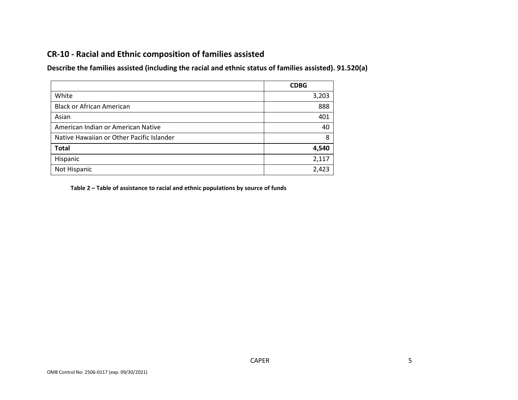# **CR-10 - Racial and Ethnic composition of families assisted**

**Describe the families assisted (including the racial and ethnic status of families assisted). 91.520(a)** 

|                                           | <b>CDBG</b> |
|-------------------------------------------|-------------|
| White                                     | 3,203       |
| <b>Black or African American</b>          | 888         |
| Asian                                     | 401         |
| American Indian or American Native        | 40          |
| Native Hawaiian or Other Pacific Islander | 8           |
| <b>Total</b>                              | 4,540       |
| Hispanic                                  | 2,117       |
| Not Hispanic                              | 2,423       |

**Table 2 – Table of assistance to racial and ethnic populations by source of funds**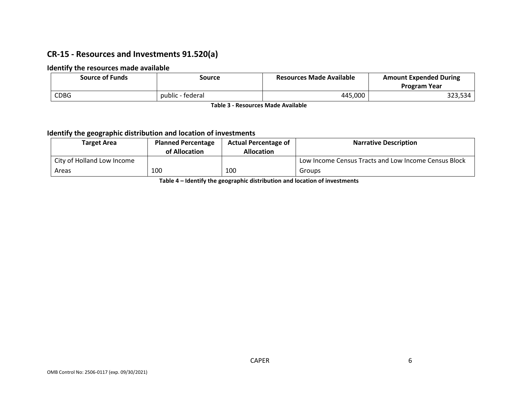# **CR-15 - Resources and Investments 91.520(a)**

### **Identify the resources made available**

| <b>Source of Funds</b> | Source           | <b>Resources Made Available</b> | <b>Amount Expended During</b><br><b>Program Year</b> |
|------------------------|------------------|---------------------------------|------------------------------------------------------|
| <b>CDBG</b>            | public - federal | 445,000                         | 323,534                                              |

**Table 3 - Resources Made Available**

### **Identify the geographic distribution and location of investments**

| Target Area                | <b>Planned Percentage</b><br>of Allocation | <b>Actual Percentage of</b><br><b>Allocation</b> | <b>Narrative Description</b>                         |
|----------------------------|--------------------------------------------|--------------------------------------------------|------------------------------------------------------|
| City of Holland Low Income |                                            |                                                  | Low Income Census Tracts and Low Income Census Block |
| Areas                      | 100                                        | 100                                              | Groups                                               |

**Table 4 – Identify the geographic distribution and location of investments**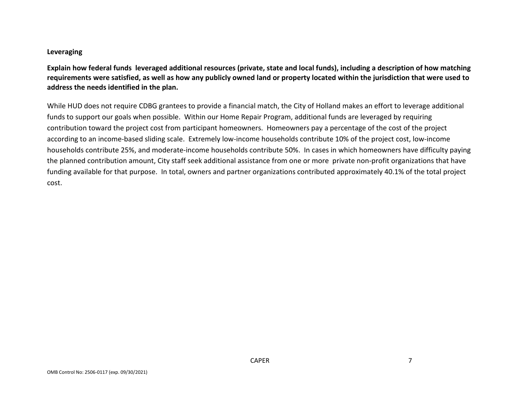#### **Leveraging**

**Explain how federal funds leveraged additional resources (private, state and local funds), including a description of how matching requirements were satisfied, as well as how any publicly owned land or property located within the jurisdiction that were used to address the needs identified in the plan.**

While HUD does not require CDBG grantees to provide a financial match, the City of Holland makes an effort to leverage additional funds to support our goals when possible. Within our Home Repair Program, additional funds are leveraged by requiring contribution toward the project cost from participant homeowners. Homeowners pay a percentage of the cost of the project according to an income-based sliding scale. Extremely low-income households contribute 10% of the project cost, low-income households contribute 25%, and moderate-income households contribute 50%. In cases in which homeowners have difficulty paying the planned contribution amount, City staff seek additional assistance from one or more private non-profit organizations that have funding available for that purpose. In total, owners and partner organizations contributed approximately 40.1% of the total project cost.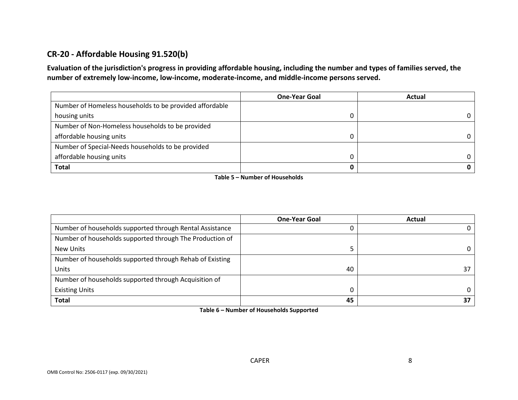# **CR-20 - Affordable Housing 91.520(b)**

**Evaluation of the jurisdiction's progress in providing affordable housing, including the number and types of families served, the number of extremely low-income, low-income, moderate-income, and middle-income persons served.**

|                                                         | <b>One-Year Goal</b> | Actual |
|---------------------------------------------------------|----------------------|--------|
| Number of Homeless households to be provided affordable |                      |        |
| housing units                                           |                      | 0      |
| Number of Non-Homeless households to be provided        |                      |        |
| affordable housing units                                |                      | 0      |
| Number of Special-Needs households to be provided       |                      |        |
| affordable housing units                                |                      | 0      |
| <b>Total</b>                                            |                      |        |

**Table 5 – Number of Households**

|                                                          | <b>One-Year Goal</b> | Actual   |
|----------------------------------------------------------|----------------------|----------|
| Number of households supported through Rental Assistance |                      | 0        |
| Number of households supported through The Production of |                      |          |
| New Units                                                |                      | $\Omega$ |
| Number of households supported through Rehab of Existing |                      |          |
| Units                                                    | 40                   | 37       |
| Number of households supported through Acquisition of    |                      |          |
| <b>Existing Units</b>                                    |                      | 0        |
| <b>Total</b>                                             | 45                   | 37       |

**Table 6 – Number of Households Supported**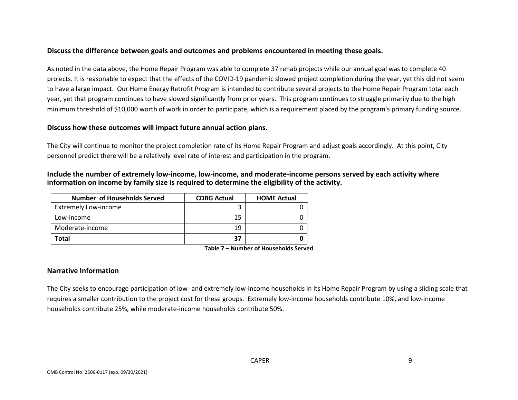### **Discuss the difference between goals and outcomes and problems encountered in meeting these goals.**

As noted in the data above, the Home Repair Program was able to complete 37 rehab projects while our annual goal was to complete 40 projects. It is reasonable to expect that the effects of the COVID-19 pandemic slowed project completion during the year, yet this did not seem to have a large impact. Our Home Energy Retrofit Program is intended to contribute several projects to the Home Repair Program total each year, yet that program continues to have slowed significantly from prior years. This program continues to struggle primarily due to the high minimum threshold of \$10,000 worth of work in order to participate, which is a requirement placed by the program's primary funding source.

#### **Discuss how these outcomes will impact future annual action plans.**

The City will continue to monitor the project completion rate of its Home Repair Program and adjust goals accordingly. At this point, City personnel predict there will be a relatively level rate of interest and participation in the program.

#### **Include the number of extremely low-income, low-income, and moderate-income persons served by each activity where information on income by family size is required to determine the eligibility of the activity.**

| <b>Number of Households Served</b> | <b>CDBG Actual</b> | <b>HOME Actual</b> |
|------------------------------------|--------------------|--------------------|
| <b>Extremely Low-income</b>        |                    |                    |
| Low-income                         | 15                 |                    |
| Moderate-income                    | 19                 |                    |
| Total                              | 37                 |                    |

**Table 7 – Number of Households Served**

#### **Narrative Information**

The City seeks to encourage participation of low- and extremely low-income households in its Home Repair Program by using a sliding scale that requires a smaller contribution to the project cost for these groups. Extremely low-income households contribute 10%, and low-income households contribute 25%, while moderate-income households contribute 50%.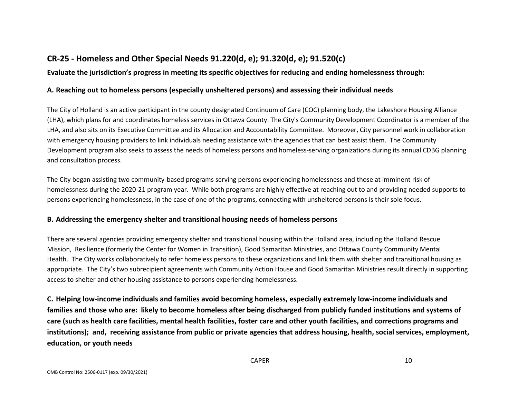# **CR-25 - Homeless and Other Special Needs 91.220(d, e); 91.320(d, e); 91.520(c)**

# **Evaluate the jurisdiction's progress in meeting its specific objectives for reducing and ending homelessness through:**

### **A. Reaching out to homeless persons (especially unsheltered persons) and assessing their individual needs**

The City of Holland is an active participant in the county designated Continuum of Care (COC) planning body, the Lakeshore Housing Alliance (LHA), which plans for and coordinates homeless services in Ottawa County. The City's Community Development Coordinator is a member of the LHA, and also sits on its Executive Committee and its Allocation and Accountability Committee. Moreover, City personnel work in collaboration with emergency housing providers to link individuals needing assistance with the agencies that can best assist them. The Community Development program also seeks to assess the needs of homeless persons and homeless-serving organizations during its annual CDBG planning and consultation process.

The City began assisting two community-based programs serving persons experiencing homelessness and those at imminent risk of homelessness during the 2020-21 program year. While both programs are highly effective at reaching out to and providing needed supports to persons experiencing homelessness, in the case of one of the programs, connecting with unsheltered persons is their sole focus.

# **B. Addressing the emergency shelter and transitional housing needs of homeless persons**

There are several agencies providing emergency shelter and transitional housing within the Holland area, including the Holland Rescue Mission, Resilience (formerly the Center for Women in Transition), Good Samaritan Ministries, and Ottawa County Community Mental Health. The City works collaboratively to refer homeless persons to these organizations and link them with shelter and transitional housing as appropriate. The City's two subrecipient agreements with Community Action House and Good Samaritan Ministries result directly in supporting access to shelter and other housing assistance to persons experiencing homelessness.

**C. Helping low-income individuals and families avoid becoming homeless, especially extremely low-income individuals and families and those who are: likely to become homeless after being discharged from publicly funded institutions and systems of care (such as health care facilities, mental health facilities, foster care and other youth facilities, and corrections programs and institutions); and, receiving assistance from public or private agencies that address housing, health, social services, employment, education, or youth needs**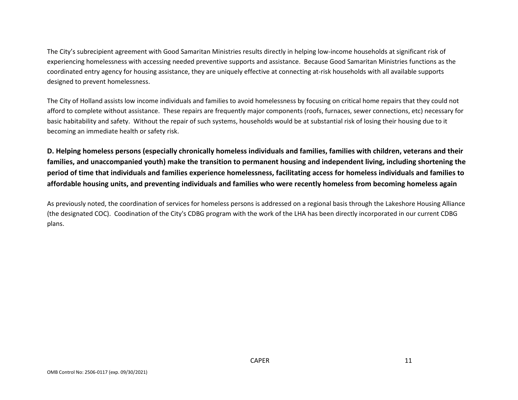The City's subrecipient agreement with Good Samaritan Ministries results directly in helping low-income households at significant risk of experiencing homelessness with accessing needed preventive supports and assistance. Because Good Samaritan Ministries functions as the coordinated entry agency for housing assistance, they are uniquely effective at connecting at-risk households with all available supports designed to prevent homelessness.

The City of Holland assists low income individuals and families to avoid homelessness by focusing on critical home repairs that they could not afford to complete without assistance. These repairs are frequently major components (roofs, furnaces, sewer connections, etc) necessary for basic habitability and safety. Without the repair of such systems, households would be at substantial risk of losing their housing due to it becoming an immediate health or safety risk.

**D. Helping homeless persons (especially chronically homeless individuals and families, families with children, veterans and their families, and unaccompanied youth) make the transition to permanent housing and independent living, including shortening the period of time that individuals and families experience homelessness, facilitating access for homeless individuals and families to affordable housing units, and preventing individuals and families who were recently homeless from becoming homeless again**

As previously noted, the coordination of services for homeless persons is addressed on a regional basis through the Lakeshore Housing Alliance (the designated COC). Coodination of the City's CDBG program with the work of the LHA has been directly incorporated in our current CDBG plans.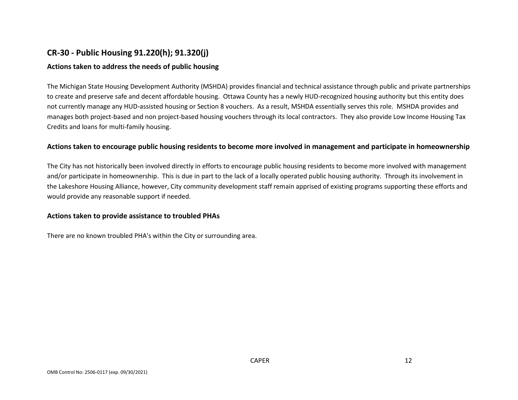# **CR-30 - Public Housing 91.220(h); 91.320(j)**

### **Actions taken to address the needs of public housing**

The Michigan State Housing Development Authority (MSHDA) provides financial and technical assistance through public and private partnerships to create and preserve safe and decent affordable housing. Ottawa County has a newly HUD-recognized housing authority but this entity does not currently manage any HUD-assisted housing or Section 8 vouchers. As a result, MSHDA essentially serves this role. MSHDA provides and manages both project-based and non project-based housing vouchers through its local contractors. They also provide Low Income Housing Tax Credits and loans for multi-family housing.

#### **Actions taken to encourage public housing residents to become more involved in management and participate in homeownership**

The City has not historically been involved directly in efforts to encourage public housing residents to become more involved with management and/or participate in homeownership. This is due in part to the lack of a locally operated public housing authority. Through its involvement in the Lakeshore Housing Alliance, however, City community development staff remain apprised of existing programs supporting these efforts and would provide any reasonable support if needed.

#### **Actions taken to provide assistance to troubled PHAs**

There are no known troubled PHA's within the City or surrounding area.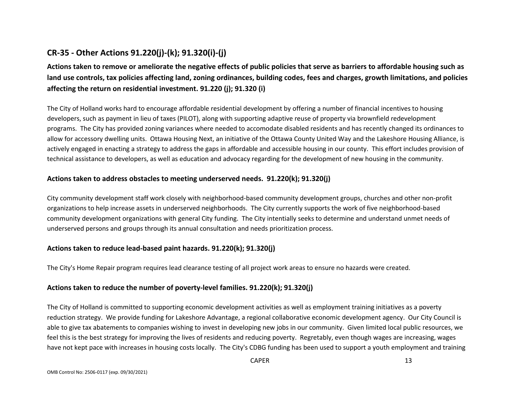# **CR-35 - Other Actions 91.220(j)-(k); 91.320(i)-(j)**

**Actions taken to remove or ameliorate the negative effects of public policies that serve as barriers to affordable housing such as land use controls, tax policies affecting land, zoning ordinances, building codes, fees and charges, growth limitations, and policies affecting the return on residential investment. 91.220 (j); 91.320 (i)**

The City of Holland works hard to encourage affordable residential development by offering a number of financial incentives to housing developers, such as payment in lieu of taxes (PILOT), along with supporting adaptive reuse of property via brownfield redevelopment programs. The City has provided zoning variances where needed to accomodate disabled residents and has recently changed its ordinances to allow for accessory dwelling units. Ottawa Housing Next, an initiative of the Ottawa County United Way and the Lakeshore Housing Alliance, is actively engaged in enacting a strategy to address the gaps in affordable and accessible housing in our county. This effort includes provision of technical assistance to developers, as well as education and advocacy regarding for the development of new housing in the community.

### **Actions taken to address obstacles to meeting underserved needs. 91.220(k); 91.320(j)**

City community development staff work closely with neighborhood-based community development groups, churches and other non-profit organizations to help increase assets in underserved neighborhoods. The City currently supports the work of five neighborhood-based community development organizations with general City funding. The City intentially seeks to determine and understand unmet needs of underserved persons and groups through its annual consultation and needs prioritization process.

# **Actions taken to reduce lead-based paint hazards. 91.220(k); 91.320(j)**

The City's Home Repair program requires lead clearance testing of all project work areas to ensure no hazards were created.

# **Actions taken to reduce the number of poverty-level families. 91.220(k); 91.320(j)**

The City of Holland is committed to supporting economic development activities as well as employment training initiatives as a poverty reduction strategy. We provide funding for Lakeshore Advantage, a regional collaborative economic development agency. Our City Council is able to give tax abatements to companies wishing to invest in developing new jobs in our community. Given limited local public resources, we feel this is the best strategy for improving the lives of residents and reducing poverty. Regretably, even though wages are increasing, wages have not kept pace with increases in housing costs locally. The City's CDBG funding has been used to support a youth employment and training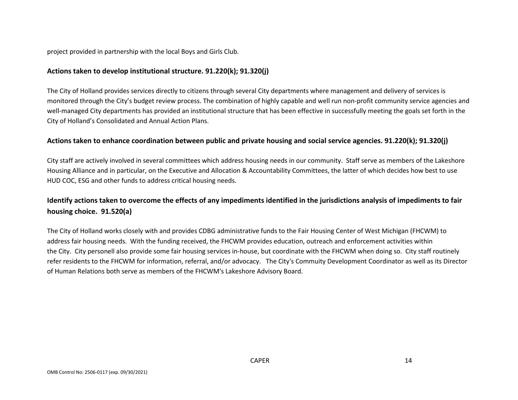project provided in partnership with the local Boys and Girls Club.

### **Actions taken to develop institutional structure. 91.220(k); 91.320(j)**

The City of Holland provides services directly to citizens through several City departments where management and delivery of services is monitored through the City's budget review process. The combination of highly capable and well run non-profit community service agencies and well-managed City departments has provided an institutional structure that has been effective in successfully meeting the goals set forth in the City of Holland's Consolidated and Annual Action Plans.

### **Actions taken to enhance coordination between public and private housing and social service agencies. 91.220(k); 91.320(j)**

City staff are actively involved in several committees which address housing needs in our community. Staff serve as members of the Lakeshore Housing Alliance and in particular, on the Executive and Allocation & Accountability Committees, the latter of which decides how best to use HUD COC, ESG and other funds to address critical housing needs.

# **Identify actions taken to overcome the effects of any impediments identified in the jurisdictions analysis of impediments to fair housing choice. 91.520(a)**

The City of Holland works closely with and provides CDBG administrative funds to the Fair Housing Center of West Michigan (FHCWM) to address fair housing needs. With the funding received, the FHCWM provides education, outreach and enforcement activities within the City. City personell also provide some fair housing services in-house, but coordinate with the FHCWM when doing so. City staff routinely refer residents to the FHCWM for information, referral, and/or advocacy. The City's Commuity Development Coordinator as well as its Director of Human Relations both serve as members of the FHCWM's Lakeshore Advisory Board.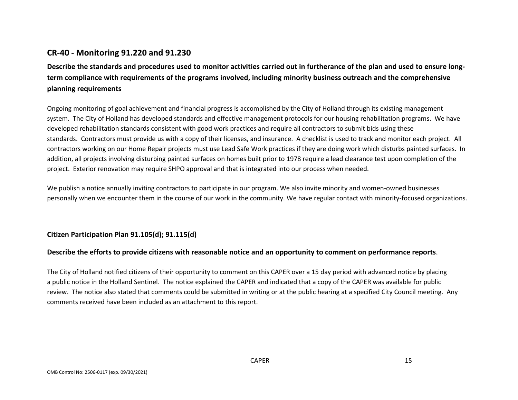# **CR-40 - Monitoring 91.220 and 91.230**

**Describe the standards and procedures used to monitor activities carried out in furtherance of the plan and used to ensure longterm compliance with requirements of the programs involved, including minority business outreach and the comprehensive planning requirements**

Ongoing monitoring of goal achievement and financial progress is accomplished by the City of Holland through its existing management system. The City of Holland has developed standards and effective management protocols for our housing rehabilitation programs. We have developed rehabilitation standards consistent with good work practices and require all contractors to submit bids using these standards. Contractors must provide us with a copy of their licenses, and insurance. A checklist is used to track and monitor each project. All contractors working on our Home Repair projects must use Lead Safe Work practices if they are doing work which disturbs painted surfaces. In addition, all projects involving disturbing painted surfaces on homes built prior to 1978 require a lead clearance test upon completion of the project. Exterior renovation may require SHPO approval and that is integrated into our process when needed.

We publish a notice annually inviting contractors to participate in our program. We also invite minority and women-owned businesses personally when we encounter them in the course of our work in the community. We have regular contact with minority-focused organizations.

# **Citizen Participation Plan 91.105(d); 91.115(d)**

#### **Describe the efforts to provide citizens with reasonable notice and an opportunity to comment on performance reports**.

The City of Holland notified citizens of their opportunity to comment on this CAPER over a 15 day period with advanced notice by placing a public notice in the Holland Sentinel. The notice explained the CAPER and indicated that a copy of the CAPER was available for public review. The notice also stated that comments could be submitted in writing or at the public hearing at a specified City Council meeting. Any comments received have been included as an attachment to this report.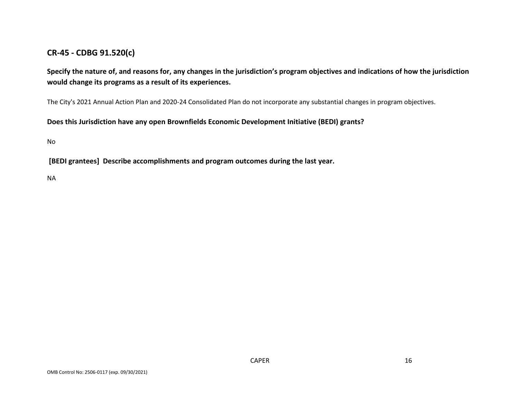# **CR-45 - CDBG 91.520(c)**

**Specify the nature of, and reasons for, any changes in the jurisdiction's program objectives and indications of how the jurisdiction would change its programs as a result of its experiences.**

The City's 2021 Annual Action Plan and 2020-24 Consolidated Plan do not incorporate any substantial changes in program objectives.

**Does this Jurisdiction have any open Brownfields Economic Development Initiative (BEDI) grants?**

No

**[BEDI grantees] Describe accomplishments and program outcomes during the last year.**

NA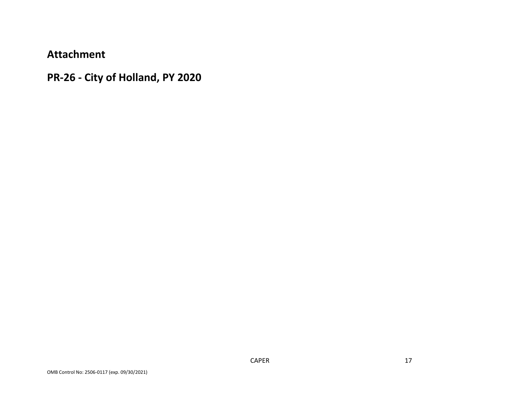**Attachment**

**PR-26 - City of Holland, PY 2020**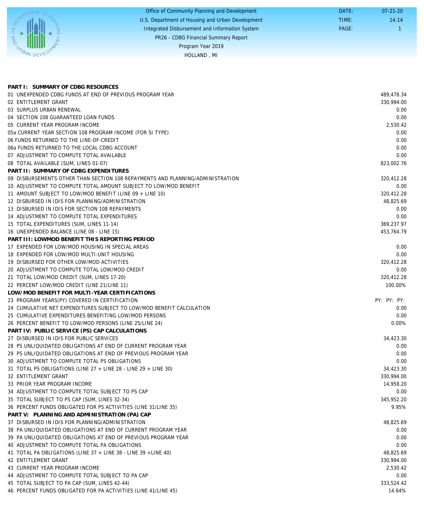|                          | Office of Community Planning and Development     | DATE: | $07 - 21 - 20$ |
|--------------------------|--------------------------------------------------|-------|----------------|
|                          | U.S. Department of Housing and Urban Development | TIME: | 14:14          |
| U.S. D <sub>E</sub><br>▲ | Integrated Disbursement and Information System   | PAGE: |                |
| <b>PM</b>                | PR26 - CDBG Financial Summary Report             |       |                |
|                          | Program Year 2019                                |       |                |
| <b>CRANDEVE</b>          | HOLLAND, MI                                      |       |                |
|                          |                                                  |       |                |

| PART I: SUMMARY OF CDBG RESOURCES                                              |             |
|--------------------------------------------------------------------------------|-------------|
| 01 UNEXPENDED CDBG FUNDS AT END OF PREVIOUS PROGRAM YEAR                       | 489,478.34  |
| 02 ENTITLEMENT GRANT                                                           | 330,994.00  |
| 03 SURPLUS URBAN RENEWAL                                                       | 0.00        |
| 04 SECTION 108 GUARANTEED LOAN FUNDS                                           | 0.00        |
| 05 CURRENT YEAR PROGRAM INCOME                                                 | 2,530.42    |
| 05a CURRENT YEAR SECTION 108 PROGRAM INCOME (FOR SI TYPE)                      | 0.00        |
| 06 FUNDS RETURNED TO THE LINE-OF-CREDIT                                        | 0.00        |
| 06a FUNDS RETURNED TO THE LOCAL CDBG ACCOUNT                                   | 0.00        |
| 07 ADJUSTMENT TO COMPUTE TOTAL AVAILABLE                                       | 0.00        |
| 08 TOTAL AVAILABLE (SUM, LINES 01-07)                                          | 823,002.76  |
| PART II: SUMMARY OF CDBG EXPENDITURES                                          |             |
| 09 DISBURSEMENTS OTHER THAN SECTION 108 REPAYMENTS AND PLANNING/ADMINISTRATION | 320,412.28  |
| 10 ADJUSTMENT TO COMPUTE TOTAL AMOUNT SUBJECT TO LOW/MOD BENEFIT               | 0.00        |
| 11 AMOUNT SUBJECT TO LOW/MOD BENEFIT (LINE 09 + LINE 10)                       | 320,412.28  |
| 12 DISBURSED IN IDIS FOR PLANNING/ADMINISTRATION                               | 48,825.69   |
| 13 DISBURSED IN IDIS FOR SECTION 108 REPAYMENTS                                | 0.00        |
| 14 ADJUSTMENT TO COMPUTE TOTAL EXPENDITURES                                    | 0.00        |
| 15 TOTAL EXPENDITURES (SUM, LINES 11-14)                                       | 369,237.97  |
| 16 UNEXPENDED BALANCE (LINE 08 - LINE 15)                                      | 453,764.79  |
| PART III: LOWMOD BENEFIT THIS REPORTING PERIOD                                 |             |
| 17 EXPENDED FOR LOW/MOD HOUSING IN SPECIAL AREAS                               | 0.00        |
| 18 EXPENDED FOR LOW/MOD MULTI-UNIT HOUSING                                     | 0.00        |
| 19 DISBURSED FOR OTHER LOW/MOD ACTIVITIES                                      | 320,412.28  |
| 20 ADJUSTMENT TO COMPUTE TOTAL LOW/MOD CREDIT                                  | 0.00        |
| 21 TOTAL LOW/MOD CREDIT (SUM, LINES 17-20)                                     | 320,412.28  |
| 22 PERCENT LOW/MOD CREDIT (LINE 21/LINE 11)                                    | 100.00%     |
| LOW/MOD BENEFIT FOR MULTI-YEAR CERTIFICATIONS                                  |             |
| 23 PROGRAM YEARS(PY) COVERED IN CERTIFICATION                                  | PY: PY: PY: |
| 24 CUMULATIVE NET EXPENDITURES SUBJECT TO LOW/MOD BENEFIT CALCULATION          | 0.00        |
| 25 CUMULATIVE EXPENDITURES BENEFITING LOW/MOD PERSONS                          | 0.00        |
| 26 PERCENT BENEFIT TO LOW/MOD PERSONS (LINE 25/LINE 24)                        | $0.00\%$    |
| PART IV: PUBLIC SERVICE (PS) CAP CALCULATIONS                                  |             |
| 27 DISBURSED IN IDIS FOR PUBLIC SERVICES                                       | 34,423.30   |
| 28 PS UNLIQUIDATED OBLIGATIONS AT END OF CURRENT PROGRAM YEAR                  | 0.00        |
| 29 PS UNLIQUIDATED OBLIGATIONS AT END OF PREVIOUS PROGRAM YEAR                 | 0.00        |
| 30 ADJUSTMENT TO COMPUTE TOTAL PS OBLIGATIONS                                  | 0.00        |
| 31 TOTAL PS OBLIGATIONS (LINE 27 + LINE 28 - LINE 29 + LINE 30)                | 34,423.30   |
| 32 ENTITLEMENT GRANT                                                           | 330,994.00  |
| 33 PRIOR YEAR PROGRAM INCOME                                                   | 14,958.20   |
| 34 ADJUSTMENT TO COMPUTE TOTAL SUBJECT TO PS CAP                               | 0.00        |
| 35 TOTAL SUBJECT TO PS CAP (SUM, LINES 32-34)                                  | 345,952.20  |
| 36 PERCENT FUNDS OBLIGATED FOR PS ACTIVITIES (LINE 31/LINE 35)                 | 9.95%       |
| PART V: PLANNING AND ADMINISTRATION (PA) CAP                                   |             |
| 37 DISBURSED IN IDIS FOR PLANNING/ADMINISTRATION                               | 48,825.69   |
| 38 PA UNLIQUIDATED OBLIGATIONS AT END OF CURRENT PROGRAM YEAR                  | 0.00        |
| 39 PA UNLIQUIDATED OBLIGATIONS AT END OF PREVIOUS PROGRAM YEAR                 | 0.00        |
| 40 ADJUSTMENT TO COMPUTE TOTAL PA OBLIGATIONS                                  | 0.00        |
| 41 TOTAL PA OBLIGATIONS (LINE 37 + LINE 38 - LINE 39 + LINE 40)                | 48,825.69   |
| 42 ENTITLEMENT GRANT                                                           | 330,994.00  |
| 43 CURRENT YEAR PROGRAM INCOME                                                 | 2,530.42    |
| 44 ADJUSTMENT TO COMPUTE TOTAL SUBJECT TO PA CAP                               | 0.00        |
| 45 TOTAL SUBJECT TO PA CAP (SUM, LINES 42-44)                                  | 333,524.42  |
| 46 PERCENT FUNDS OBLIGATED FOR PA ACTIVITIES (LINE 41/LINE 45)                 | 14.64%      |
|                                                                                |             |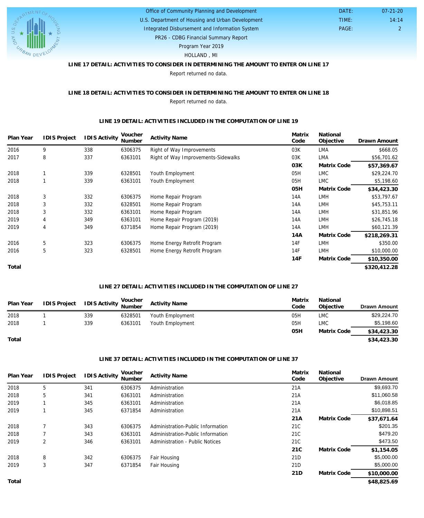

# U.S. Department of Housing and Urban Development Office of Community Planning and Development Integrated Disbursement and Information System

PAGE: 2 14:14 07-21-20

 DATE: TIME:

PR26 - CDBG Financial Summary Report

Program Year 2019

# HOLLAND , MI

# **LINE 17 DETAIL: ACTIVITIES TO CONSIDER IN DETERMINING THE AMOUNT TO ENTER ON LINE 17**

Report returned no data.

#### **LINE 18 DETAIL: ACTIVITIES TO CONSIDER IN DETERMINING THE AMOUNT TO ENTER ON LINE 18** Report returned no data.

#### **LINE 19 DETAIL: ACTIVITIES INCLUDED IN THE COMPUTATION OF LINE 19**

| Plan Year | <b>IDIS Project</b> | <b>IDIS Activity</b> | Voucher<br>Number | <b>Activity Name</b>                | Matrix<br>Code | National<br>Objective | Drawn Amount |
|-----------|---------------------|----------------------|-------------------|-------------------------------------|----------------|-----------------------|--------------|
| 2016      | 9                   | 338                  | 6306375           | Right of Way Improvements           | 03K            | LMA                   | \$668.05     |
| 2017      | 8                   | 337                  | 6363101           | Right of Way Improvements-Sidewalks | 03K            | LMA                   | \$56,701.62  |
|           |                     |                      |                   |                                     | 03K            | Matrix Code           | \$57,369.67  |
| 2018      |                     | 339                  | 6328501           | Youth Employment                    | 05H            | <b>LMC</b>            | \$29,224.70  |
| 2018      |                     | 339                  | 6363101           | Youth Employment                    | 05H            | <b>LMC</b>            | \$5,198.60   |
|           |                     |                      |                   |                                     | 05H            | Matrix Code           | \$34,423.30  |
| 2018      | 3                   | 332                  | 6306375           | Home Repair Program                 | 14A            | <b>LMH</b>            | \$53,797.67  |
| 2018      | 3                   | 332                  | 6328501           | Home Repair Program                 | 14A            | <b>LMH</b>            | \$45,753.11  |
| 2018      | 3                   | 332                  | 6363101           | Home Repair Program                 | 14A            | <b>LMH</b>            | \$31,851.96  |
| 2019      | 4                   | 349                  | 6363101           | Home Repair Program (2019)          | 14A            | <b>LMH</b>            | \$26,745.18  |
| 2019      | 4                   | 349                  | 6371854           | Home Repair Program (2019)          | 14A            | <b>LMH</b>            | \$60,121.39  |
|           |                     |                      |                   |                                     | 14A            | Matrix Code           | \$218,269.31 |
| 2016      | 5                   | 323                  | 6306375           | Home Energy Retrofit Program        | 14F            | <b>LMH</b>            | \$350.00     |
| 2016      | 5                   | 323                  | 6328501           | Home Energy Retrofit Program        | 14F            | <b>LMH</b>            | \$10,000.00  |
|           |                     |                      |                   |                                     | 14F            | Matrix Code           | \$10,350.00  |
| Total     |                     |                      |                   |                                     |                |                       | \$320,412.28 |

#### **LINE 27 DETAIL: ACTIVITIES INCLUDED IN THE COMPUTATION OF LINE 27**

| Plan Year | IDIS Project | <b>IDIS Activity Voucher</b><br>Number |         | <b>Activity Name</b> | Matrix<br>Code | National<br>Objective | <b>Drawn Amount</b> |
|-----------|--------------|----------------------------------------|---------|----------------------|----------------|-----------------------|---------------------|
| 2018      |              | 339                                    | 6328501 | Youth Employment     | 05H            | <b>LMC</b>            | \$29,224.70         |
| 2018      |              | 339                                    | 6363101 | Youth Employment     | 05H            | <b>LMC</b>            | \$5,198.60          |
|           |              |                                        |         |                      | 05H            | Matrix Code           | \$34,423.30         |
| Total     |              |                                        |         |                      |                |                       | \$34,423.30         |

#### **LINE 37 DETAIL: ACTIVITIES INCLUDED IN THE COMPUTATION OF LINE 37**

| Plan Year | <b>IDIS Project</b> | <b>IDIS Activity</b> | Voucher<br>Number | <b>Activity Name</b>              | Matrix<br>Code | National<br>Objective | <b>Drawn Amount</b> |
|-----------|---------------------|----------------------|-------------------|-----------------------------------|----------------|-----------------------|---------------------|
| 2018      | 5                   | 341                  | 6306375           | Administration                    | 21A            |                       | \$9,693.70          |
| 2018      | 5                   | 341                  | 6363101           | Administration                    | 21A            |                       | \$11,060.58         |
| 2019      |                     | 345                  | 6363101           | Administration                    | 21A            |                       | \$6,018.85          |
| 2019      |                     | 345                  | 6371854           | Administration                    | 21A            |                       | \$10,898.51         |
|           |                     |                      |                   |                                   | 21A            | Matrix Code           | \$37,671.64         |
| 2018      |                     | 343                  | 6306375           | Administration-Public Information | 21C            |                       | \$201.35            |
| 2018      |                     | 343                  | 6363101           | Administration-Public Information | 21C            |                       | \$479.20            |
| 2019      | 2                   | 346                  | 6363101           | Administration - Public Notices   | 21C            |                       | \$473.50            |
|           |                     |                      |                   |                                   | 21C            | Matrix Code           | \$1,154.05          |
| 2018      | 8                   | 342                  | 6306375           | Fair Housing                      | 21D            |                       | \$5,000.00          |
| 2019      | 3                   | 347                  | 6371854           | Fair Housing                      | 21D            |                       | \$5,000.00          |
|           |                     |                      |                   |                                   | 21D            | Matrix Code           | \$10,000.00         |
| Total     |                     |                      |                   |                                   |                |                       | \$48,825.69         |

**\$48,825.69**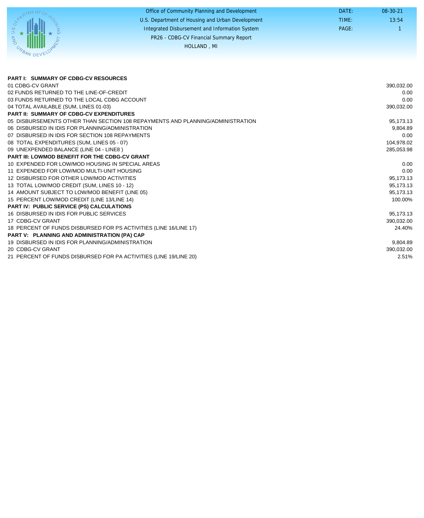|                 | Office of Community Planning and Development     | DATE: | $08-30-21$ |
|-----------------|--------------------------------------------------|-------|------------|
|                 | U.S. Department of Housing and Urban Development | TIME: | 13:54      |
|                 | Integrated Disbursement and Information System   | PAGE: |            |
|                 | PR26 - CDBG-CV Financial Summary Report          |       |            |
| UPP.            | HOLLAND, MI                                      |       |            |
| <b>JAN DEVE</b> |                                                  |       |            |

| <b>PART I: SUMMARY OF CDBG-CV RESOURCES</b>                                    |            |
|--------------------------------------------------------------------------------|------------|
| 01 CDBG-CV GRANT                                                               | 390,032.00 |
| 02 FUNDS RETURNED TO THE LINE-OF-CREDIT                                        | 0.00       |
| 03 FUNDS RETURNED TO THE LOCAL CDBG ACCOUNT                                    | 0.00       |
| 04 TOTAL AVAILABLE (SUM, LINES 01-03)                                          | 390,032.00 |
| <b>PART II: SUMMARY OF CDBG-CV EXPENDITURES</b>                                |            |
| 05 DISBURSEMENTS OTHER THAN SECTION 108 REPAYMENTS AND PLANNING/ADMINISTRATION | 95,173.13  |
| 06 DISBURSED IN IDIS FOR PLANNING/ADMINISTRATION                               | 9,804.89   |
| 07 DISBURSED IN IDIS FOR SECTION 108 REPAYMENTS                                | 0.00       |
| 08 TOTAL EXPENDITURES (SUM, LINES 05 - 07)                                     | 104.978.02 |
| 09 UNEXPENDED BALANCE (LINE 04 - LINE8)                                        | 285,053.98 |
| <b>PART III: LOWMOD BENEFIT FOR THE CDBG-CV GRANT</b>                          |            |
| 10 EXPENDED FOR LOW/MOD HOUSING IN SPECIAL AREAS                               | 0.00       |
| 11 EXPENDED FOR LOW/MOD MULTI-UNIT HOUSING                                     | 0.00       |
| 12 DISBURSED FOR OTHER LOW/MOD ACTIVITIES                                      | 95,173.13  |
| 13 TOTAL LOW/MOD CREDIT (SUM, LINES 10 - 12)                                   | 95,173.13  |
| 14 AMOUNT SUBJECT TO LOW/MOD BENEFIT (LINE 05)                                 | 95,173.13  |
| 15 PERCENT LOW/MOD CREDIT (LINE 13/LINE 14)                                    | 100.00%    |
| PART IV: PUBLIC SERVICE (PS) CALCULATIONS                                      |            |
| 16 DISBURSED IN IDIS FOR PUBLIC SERVICES                                       | 95,173.13  |
| 17 CDBG-CV GRANT                                                               | 390,032.00 |
| 18 PERCENT OF FUNDS DISBURSED FOR PS ACTIVITIES (LINE 16/LINE 17)              | 24.40%     |
| PART V: PLANNING AND ADMINISTRATION (PA) CAP                                   |            |
| 19 DISBURSED IN IDIS FOR PLANNING/ADMINISTRATION                               | 9,804.89   |
| 20 CDBG-CV GRANT                                                               | 390,032.00 |
| 21 PERCENT OF FUNDS DISBURSED FOR PA ACTIVITIES (LINE 19/LINE 20)              | 2.51%      |